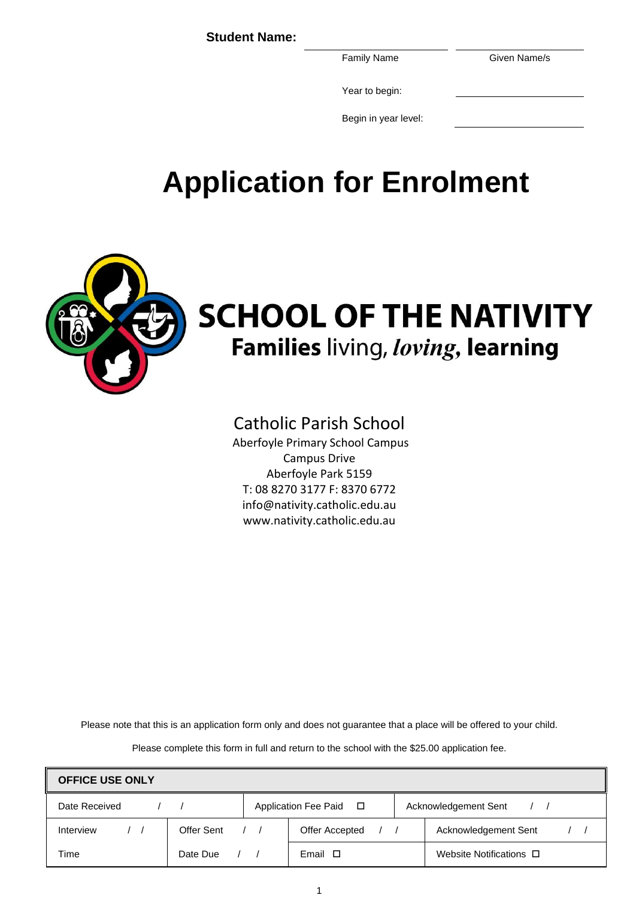**Student Name:**

Family Name Given Name/s

Year to begin:

Begin in year level:

# **Application for Enrolment**



# **SCHOOL OF THE NATIVITY** Families living, loving, learning

# Catholic Parish School

Aberfoyle Primary School Campus Campus Drive Aberfoyle Park 5159 T: 08 8270 3177 F: 8370 6772 info@nativity.catholic.edu.au www.nativity.catholic.edu.au

Please note that this is an application form only and does not guarantee that a place will be offered to your child.

Please complete this form in full and return to the school with the \$25.00 application fee.

| <b>OFFICE USE ONLY</b> |            |            |                        |  |                              |
|------------------------|------------|------------|------------------------|--|------------------------------|
| Date Received          |            |            | Application Fee Paid □ |  | Acknowledgement Sent         |
| Interview              | Offer Sent | $\sqrt{1}$ | <b>Offer Accepted</b>  |  | Acknowledgement Sent         |
| Time                   | Date Due   |            | Email $\Box$           |  | Website Notifications $\Box$ |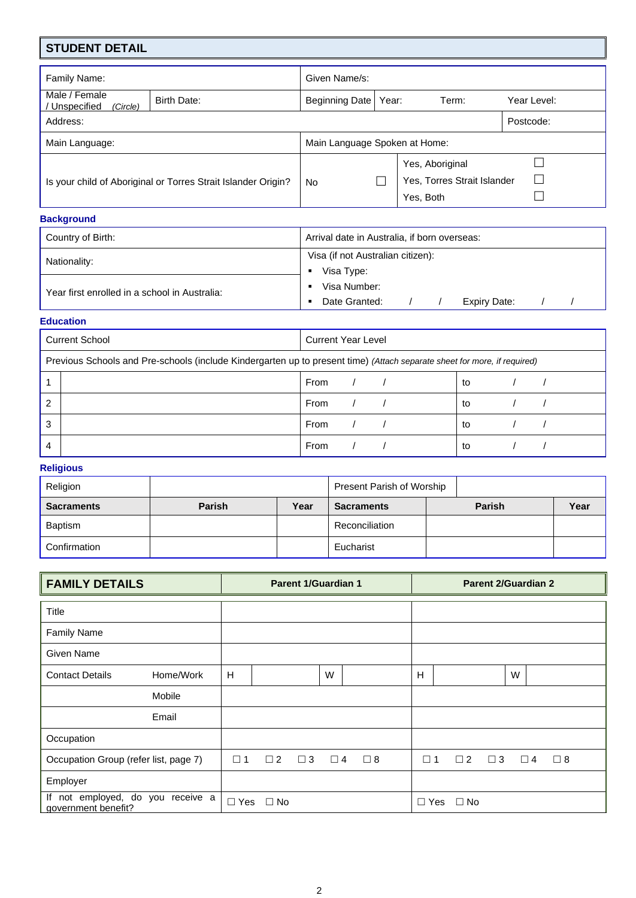# **STUDENT DETAIL**

| Family Name:                                                  | Given Name/s:                 |                                                             |             |
|---------------------------------------------------------------|-------------------------------|-------------------------------------------------------------|-------------|
| Male / Female<br>Birth Date:<br>Unspecified<br>(Circle)       | Beginning Date                | Year:<br>Term:                                              | Year Level: |
| Address:                                                      |                               |                                                             | Postcode:   |
| Main Language:                                                | Main Language Spoken at Home: |                                                             |             |
| Is your child of Aboriginal or Torres Strait Islander Origin? | <b>No</b>                     | Yes, Aboriginal<br>Yes, Torres Strait Islander<br>Yes, Both | ن           |

## **Background**

| Country of Birth:                             | Arrival date in Australia, if born overseas: |  |  |  |  |  |  |
|-----------------------------------------------|----------------------------------------------|--|--|--|--|--|--|
| Nationality:                                  | Visa (if not Australian citizen):            |  |  |  |  |  |  |
| Year first enrolled in a school in Australia: | Visa Type:<br>Visa Number:                   |  |  |  |  |  |  |
|                                               | Date Granted:<br>Expiry Date:                |  |  |  |  |  |  |

#### **Education**

| <b>Current School</b>                                                                                                    | <b>Current Year Level</b> |    |
|--------------------------------------------------------------------------------------------------------------------------|---------------------------|----|
| Previous Schools and Pre-schools (include Kindergarten up to present time) (Attach separate sheet for more, if required) |                           |    |
|                                                                                                                          | From                      | to |
| 2                                                                                                                        | From                      | to |
| 3                                                                                                                        | From                      | to |
|                                                                                                                          | From                      | to |

### **Religious**

| Religion          |               |      | Present Parish of Worship |               |      |
|-------------------|---------------|------|---------------------------|---------------|------|
| <b>Sacraments</b> | <b>Parish</b> | Year | <b>Sacraments</b>         | <b>Parish</b> | Year |
| <b>Baptism</b>    |               |      | Reconciliation            |               |      |
| Confirmation      |               |      | Eucharist                 |               |      |

| <b>FAMILY DETAILS</b>                                    |            | <b>Parent 1/Guardian 1</b> |          |          |          | <b>Parent 2/Guardian 2</b> |           |          |          |             |
|----------------------------------------------------------|------------|----------------------------|----------|----------|----------|----------------------------|-----------|----------|----------|-------------|
| Title                                                    |            |                            |          |          |          |                            |           |          |          |             |
| <b>Family Name</b>                                       |            |                            |          |          |          |                            |           |          |          |             |
| Given Name                                               |            |                            |          |          |          |                            |           |          |          |             |
| Home/Work<br><b>Contact Details</b>                      | H          |                            |          | W        |          | H                          |           |          | W        |             |
| Mobile                                                   |            |                            |          |          |          |                            |           |          |          |             |
| Email                                                    |            |                            |          |          |          |                            |           |          |          |             |
| Occupation                                               |            |                            |          |          |          |                            |           |          |          |             |
| Occupation Group (refer list, page 7)                    | $\Box$ 1   | $\Box$ 2                   | $\Box$ 3 | $\Box$ 4 | $\Box$ 8 | $\square$ 1                | $\Box$ 2  | $\Box$ 3 | $\Box$ 4 | $\square$ 8 |
| Employer                                                 |            |                            |          |          |          |                            |           |          |          |             |
| If not employed, do you receive a<br>government benefit? | $\Box$ Yes | $\Box$ No                  |          |          |          | $\Box$ Yes                 | $\Box$ No |          |          |             |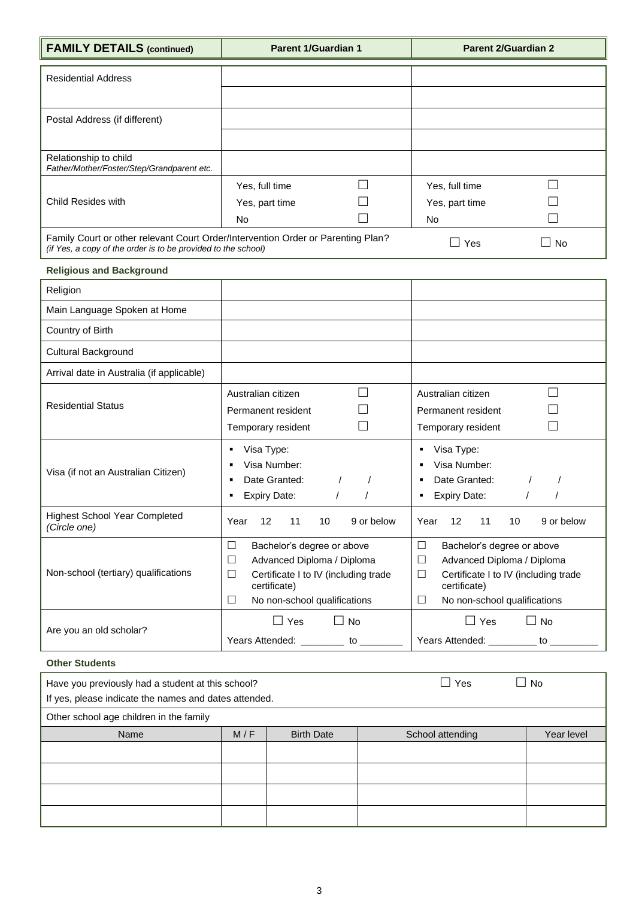|  | <b>FAMILY DETAILS (continued)</b> |  |
|--|-----------------------------------|--|
|--|-----------------------------------|--|

**Farent 1/Guardian 1 Parent 2/Guardian 2** 

| <b>Residential Address</b>                                                                                                                        |                |  |                |    |
|---------------------------------------------------------------------------------------------------------------------------------------------------|----------------|--|----------------|----|
|                                                                                                                                                   |                |  |                |    |
| Postal Address (if different)                                                                                                                     |                |  |                |    |
|                                                                                                                                                   |                |  |                |    |
| Relationship to child<br>Father/Mother/Foster/Step/Grandparent etc.                                                                               |                |  |                |    |
|                                                                                                                                                   | Yes, full time |  | Yes, full time |    |
| Child Resides with                                                                                                                                | Yes, part time |  | Yes, part time |    |
|                                                                                                                                                   | No             |  | No.            |    |
| Family Court or other relevant Court Order/Intervention Order or Parenting Plan?<br>(if Yes, a copy of the order is to be provided to the school) |                |  | Yes            | No |

| <b>Religious and Background</b>                      |                                                                                                                                                                                     |                                                                                                                                                                           |
|------------------------------------------------------|-------------------------------------------------------------------------------------------------------------------------------------------------------------------------------------|---------------------------------------------------------------------------------------------------------------------------------------------------------------------------|
| Religion                                             |                                                                                                                                                                                     |                                                                                                                                                                           |
| Main Language Spoken at Home                         |                                                                                                                                                                                     |                                                                                                                                                                           |
| Country of Birth                                     |                                                                                                                                                                                     |                                                                                                                                                                           |
| Cultural Background                                  |                                                                                                                                                                                     |                                                                                                                                                                           |
| Arrival date in Australia (if applicable)            |                                                                                                                                                                                     |                                                                                                                                                                           |
| <b>Residential Status</b>                            | Australian citizen<br>Permanent resident<br>Temporary resident                                                                                                                      | Australian citizen<br>Permanent resident<br>Temporary resident                                                                                                            |
| Visa (if not an Australian Citizen)                  | Visa Type:<br>Visa Number:<br>Date Granted:<br><b>Expiry Date:</b>                                                                                                                  | Visa Type:<br>٠<br>Visa Number:<br>٠<br>Date Granted:<br>٠<br><b>Expiry Date:</b><br>٠                                                                                    |
| <b>Highest School Year Completed</b><br>(Circle one) | 12<br>11<br>Year<br>10<br>9 or below                                                                                                                                                | 12<br>Year<br>11<br>10<br>9 or below                                                                                                                                      |
| Non-school (tertiary) qualifications                 | Bachelor's degree or above<br>$\Box$<br>Advanced Diploma / Diploma<br>$\Box$<br>Certificate I to IV (including trade<br>$\Box$<br>certificate)<br>□<br>No non-school qualifications | $\Box$<br>Bachelor's degree or above<br>□<br>Advanced Diploma / Diploma<br>Certificate I to IV (including trade<br>□<br>certificate)<br>□<br>No non-school qualifications |
| Are you an old scholar?                              | H<br>Yes<br><b>No</b><br>Years Attended:<br>to                                                                                                                                      | Yes<br><b>No</b><br>$\blacksquare$<br>Years Attended:<br>to                                                                                                               |

## **Other Students**

| Have you previously had a student at this school?<br>If yes, please indicate the names and dates attended. |     | $\sqcup$ Yes<br>$\mathbf{I}$ | <b>No</b>        |            |
|------------------------------------------------------------------------------------------------------------|-----|------------------------------|------------------|------------|
| Other school age children in the family                                                                    |     |                              |                  |            |
| Name                                                                                                       | M/F | <b>Birth Date</b>            | School attending | Year level |
|                                                                                                            |     |                              |                  |            |
|                                                                                                            |     |                              |                  |            |
|                                                                                                            |     |                              |                  |            |
|                                                                                                            |     |                              |                  |            |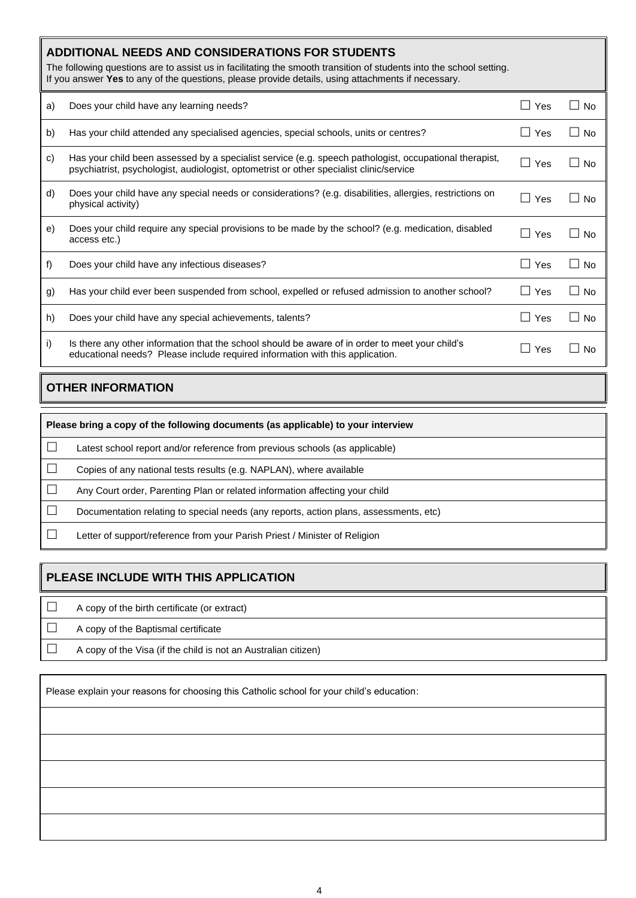|    | <b>ADDITIONAL NEEDS AND CONSIDERATIONS FOR STUDENTS</b><br>The following questions are to assist us in facilitating the smooth transition of students into the school setting.<br>If you answer Yes to any of the questions, please provide details, using attachments if necessary. |            |                     |
|----|--------------------------------------------------------------------------------------------------------------------------------------------------------------------------------------------------------------------------------------------------------------------------------------|------------|---------------------|
| a) | Does your child have any learning needs?                                                                                                                                                                                                                                             | $\Box$ Yes | $\Box$ No           |
| b) | Has your child attended any specialised agencies, special schools, units or centres?                                                                                                                                                                                                 | $\Box$ Yes | $\Box$ No           |
| C) | Has your child been assessed by a specialist service (e.g. speech pathologist, occupational therapist,<br>psychiatrist, psychologist, audiologist, optometrist or other specialist clinic/service                                                                                    | $\Box$ Yes | $\square$ No        |
| d) | Does your child have any special needs or considerations? (e.g. disabilities, allergies, restrictions on<br>physical activity)                                                                                                                                                       | $\Box$ Yes | $\square$ No        |
| e) | Does your child require any special provisions to be made by the school? (e.g. medication, disabled<br>access etc.)                                                                                                                                                                  | $\Box$ Yes | $\square$ No        |
| f) | Does your child have any infectious diseases?                                                                                                                                                                                                                                        | $\Box$ Yes | ∣ I No              |
| g) | Has your child ever been suspended from school, expelled or refused admission to another school?                                                                                                                                                                                     | $\Box$ Yes | $\Box$ No           |
| h) | Does your child have any special achievements, talents?                                                                                                                                                                                                                              | $\Box$ Yes | $\vert$ $\vert$ No  |
| i) | Is there any other information that the school should be aware of in order to meet your child's<br>educational needs? Please include required information with this application.                                                                                                     | Yes        | <b>No</b><br>$\Box$ |

# **OTHER INFORMATION**

| Please bring a copy of the following documents (as applicable) to your interview      |  |  |  |  |  |
|---------------------------------------------------------------------------------------|--|--|--|--|--|
| Latest school report and/or reference from previous schools (as applicable)           |  |  |  |  |  |
| Copies of any national tests results (e.g. NAPLAN), where available                   |  |  |  |  |  |
| Any Court order, Parenting Plan or related information affecting your child           |  |  |  |  |  |
| Documentation relating to special needs (any reports, action plans, assessments, etc) |  |  |  |  |  |
| Letter of support/reference from your Parish Priest / Minister of Religion            |  |  |  |  |  |

# **PLEASE INCLUDE WITH THIS APPLICATION**

 $\Box$  A copy of the birth certificate (or extract)  $\Box$  A copy of the Baptismal certificate  $\Box$  A copy of the Visa (if the child is not an Australian citizen)

Please explain your reasons for choosing this Catholic school for your child's education: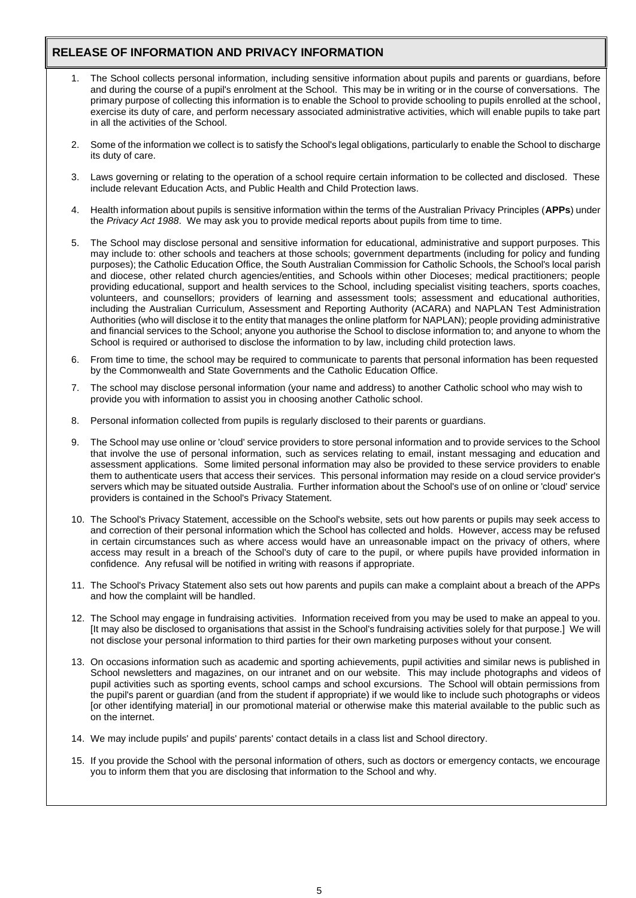# **RELEASE OF INFORMATION AND PRIVACY INFORMATION**

- 1. The School collects personal information, including sensitive information about pupils and parents or guardians, before and during the course of a pupil's enrolment at the School. This may be in writing or in the course of conversations. The primary purpose of collecting this information is to enable the School to provide schooling to pupils enrolled at the school, exercise its duty of care, and perform necessary associated administrative activities, which will enable pupils to take part in all the activities of the School.
- 2. Some of the information we collect is to satisfy the School's legal obligations, particularly to enable the School to discharge its duty of care.
- 3. Laws governing or relating to the operation of a school require certain information to be collected and disclosed. These include relevant Education Acts, and Public Health and Child Protection laws.
- 4. Health information about pupils is sensitive information within the terms of the Australian Privacy Principles (**APPs**) under the *Privacy Act 1988*. We may ask you to provide medical reports about pupils from time to time.
- 5. The School may disclose personal and sensitive information for educational, administrative and support purposes. This may include to: other schools and teachers at those schools; government departments (including for policy and funding purposes); the Catholic Education Office, the South Australian Commission for Catholic Schools, the School's local parish and diocese, other related church agencies/entities, and Schools within other Dioceses; medical practitioners; people providing educational, support and health services to the School, including specialist visiting teachers, sports coaches, volunteers, and counsellors; providers of learning and assessment tools; assessment and educational authorities, including the Australian Curriculum, Assessment and Reporting Authority (ACARA) and NAPLAN Test Administration Authorities (who will disclose it to the entity that manages the online platform for NAPLAN); people providing administrative and financial services to the School; anyone you authorise the School to disclose information to; and anyone to whom the School is required or authorised to disclose the information to by law, including child protection laws.
- 6. From time to time, the school may be required to communicate to parents that personal information has been requested by the Commonwealth and State Governments and the Catholic Education Office.
- 7. The school may disclose personal information (your name and address) to another Catholic school who may wish to provide you with information to assist you in choosing another Catholic school.
- 8. Personal information collected from pupils is regularly disclosed to their parents or guardians.
- 9. The School may use online or 'cloud' service providers to store personal information and to provide services to the School that involve the use of personal information, such as services relating to email, instant messaging and education and assessment applications. Some limited personal information may also be provided to these service providers to enable them to authenticate users that access their services. This personal information may reside on a cloud service provider's servers which may be situated outside Australia. Further information about the School's use of on online or 'cloud' service providers is contained in the School's Privacy Statement.
- 10. The School's Privacy Statement, accessible on the School's website, sets out how parents or pupils may seek access to and correction of their personal information which the School has collected and holds. However, access may be refused in certain circumstances such as where access would have an unreasonable impact on the privacy of others, where access may result in a breach of the School's duty of care to the pupil, or where pupils have provided information in confidence. Any refusal will be notified in writing with reasons if appropriate.
- 11. The School's Privacy Statement also sets out how parents and pupils can make a complaint about a breach of the APPs and how the complaint will be handled.
- 12. The School may engage in fundraising activities. Information received from you may be used to make an appeal to you. [It may also be disclosed to organisations that assist in the School's fundraising activities solely for that purpose.] We will not disclose your personal information to third parties for their own marketing purposes without your consent.
- 13. On occasions information such as academic and sporting achievements, pupil activities and similar news is published in School newsletters and magazines, on our intranet and on our website. This may include photographs and videos of pupil activities such as sporting events, school camps and school excursions. The School will obtain permissions from the pupil's parent or guardian (and from the student if appropriate) if we would like to include such photographs or videos [or other identifying material] in our promotional material or otherwise make this material available to the public such as on the internet.
- 14. We may include pupils' and pupils' parents' contact details in a class list and School directory.
- 15. If you provide the School with the personal information of others, such as doctors or emergency contacts, we encourage you to inform them that you are disclosing that information to the School and why.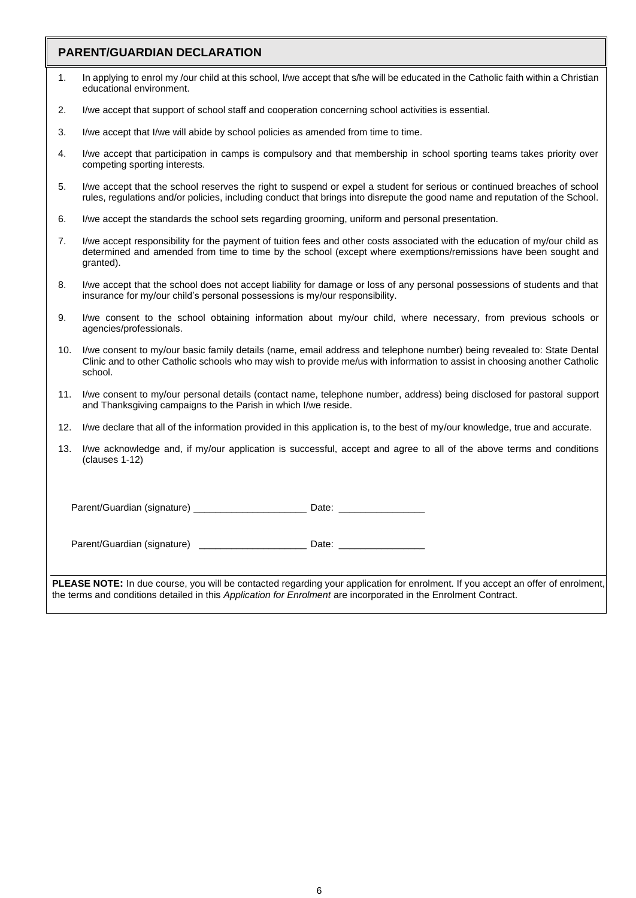# **PARENT/GUARDIAN DECLARATION**

| FANLINI/GUANDIAIN DECEANATION                                                                                                    |                                                                                                                                                                                                                                                                 |
|----------------------------------------------------------------------------------------------------------------------------------|-----------------------------------------------------------------------------------------------------------------------------------------------------------------------------------------------------------------------------------------------------------------|
| 1.                                                                                                                               | In applying to enrol my /our child at this school, I/we accept that s/he will be educated in the Catholic faith within a Christian<br>educational environment.                                                                                                  |
| 2.                                                                                                                               | I/we accept that support of school staff and cooperation concerning school activities is essential.                                                                                                                                                             |
| 3.                                                                                                                               | I/we accept that I/we will abide by school policies as amended from time to time.                                                                                                                                                                               |
| 4.                                                                                                                               | I/we accept that participation in camps is compulsory and that membership in school sporting teams takes priority over<br>competing sporting interests.                                                                                                         |
| 5.                                                                                                                               | I/we accept that the school reserves the right to suspend or expel a student for serious or continued breaches of school<br>rules, regulations and/or policies, including conduct that brings into disrepute the good name and reputation of the School.        |
| 6.                                                                                                                               | I/we accept the standards the school sets regarding grooming, uniform and personal presentation.                                                                                                                                                                |
| 7.                                                                                                                               | I/we accept responsibility for the payment of tuition fees and other costs associated with the education of my/our child as<br>determined and amended from time to time by the school (except where exemptions/remissions have been sought and<br>granted).     |
| 8.                                                                                                                               | I/we accept that the school does not accept liability for damage or loss of any personal possessions of students and that<br>insurance for my/our child's personal possessions is my/our responsibility.                                                        |
| 9.                                                                                                                               | I/we consent to the school obtaining information about my/our child, where necessary, from previous schools or<br>agencies/professionals.                                                                                                                       |
| 10.                                                                                                                              | I/we consent to my/our basic family details (name, email address and telephone number) being revealed to: State Dental<br>Clinic and to other Catholic schools who may wish to provide me/us with information to assist in choosing another Catholic<br>school. |
| 11.                                                                                                                              | I/we consent to my/our personal details (contact name, telephone number, address) being disclosed for pastoral support<br>and Thanksgiving campaigns to the Parish in which I/we reside.                                                                        |
| 12.                                                                                                                              | I/we declare that all of the information provided in this application is, to the best of my/our knowledge, true and accurate.                                                                                                                                   |
| 13.                                                                                                                              | I/we acknowledge and, if my/our application is successful, accept and agree to all of the above terms and conditions<br>(clauses 1-12)                                                                                                                          |
|                                                                                                                                  |                                                                                                                                                                                                                                                                 |
|                                                                                                                                  |                                                                                                                                                                                                                                                                 |
|                                                                                                                                  |                                                                                                                                                                                                                                                                 |
| PLEASE NOTE: In due course, you will be contacted regarding your application for enrolment. If you accept an offer of enrolment, |                                                                                                                                                                                                                                                                 |

the terms and conditions detailed in this *Application for Enrolment* are incorporated in the Enrolment Contract.